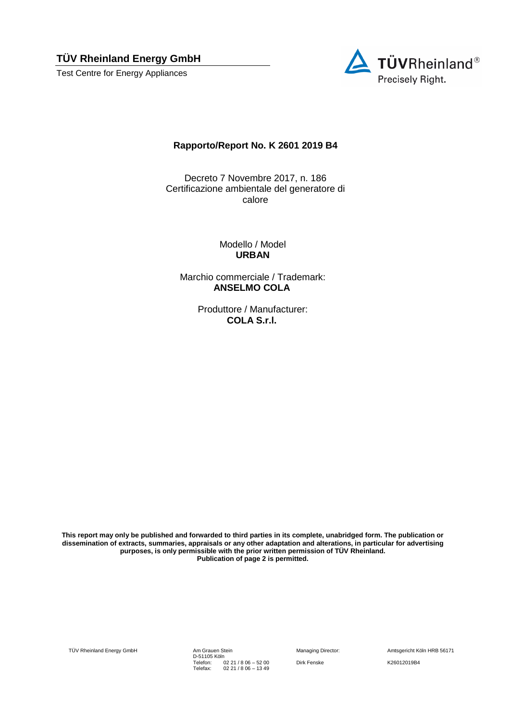**TÜV Rheinland Energy GmbH** 

Test Centre for Energy Appliances



## **Rapporto/Report No. K 2601 2019 B4**

Decreto 7 Novembre 2017, n. 186 Certificazione ambientale del generatore di calore

> Modello / Model **URBAN**

Marchio commerciale / Trademark: **ANSELMO COLA**

> Produttore / Manufacturer: **COLA S.r.l.**

**This report may only be published and forwarded to third parties in its complete, unabridged form. The publication or dissemination of extracts, summaries, appraisals or any other adaptation and alterations, in particular for advertising purposes, is only permissible with the prior written permission of TÜV Rheinland. Publication of page 2 is permitted.**

TÜV Rheinland Energy GmbH Am Grauen Stein

D-51105 Köln Telefon: Telefax: 02 21 / 8 06 – 52 00 02 21 / 8 06 – 13 49

Managing Director: Amtsgericht Köln HRB 56171 Dirk Fenske K26012019B4